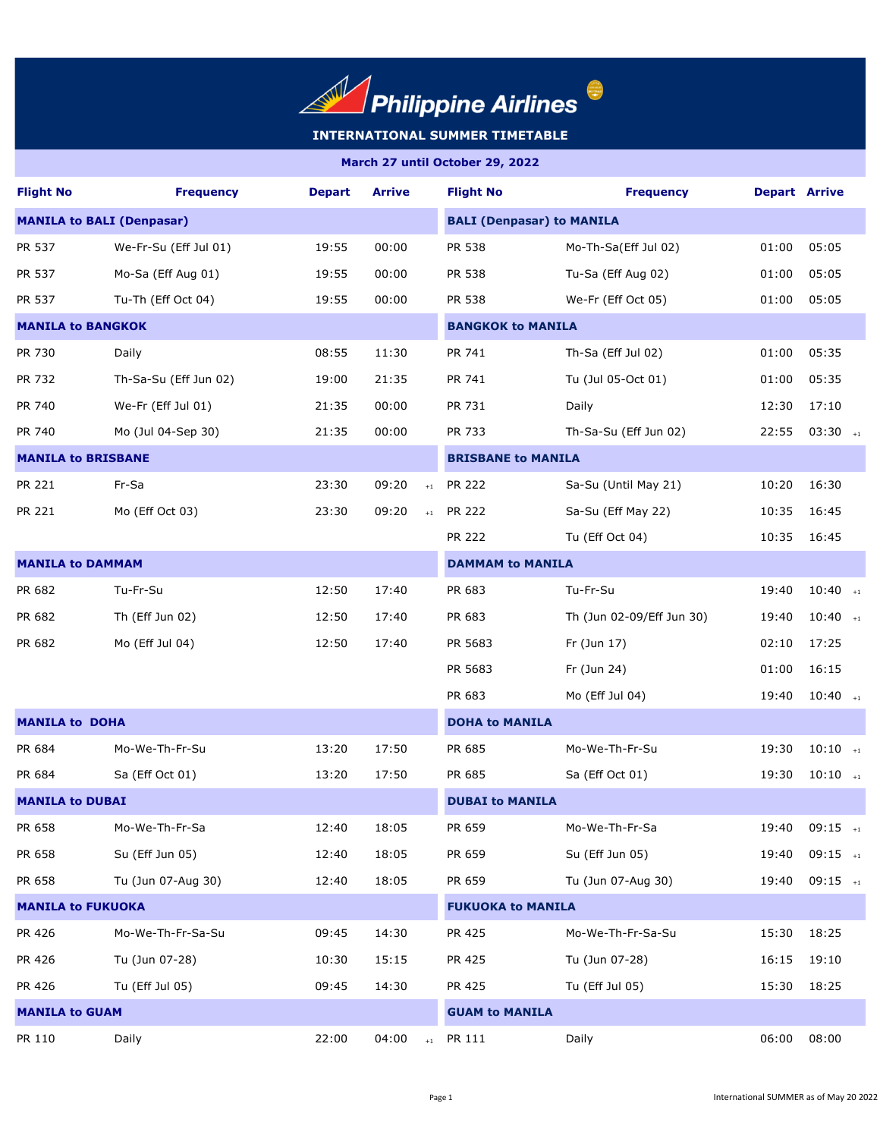

| <b>Flight No</b>                 | <b>Frequency</b>      | <b>Depart</b> | <b>Arrive</b>            | <b>Flight No</b>                 | <b>Frequency</b>          | <b>Depart Arrive</b> |                       |  |  |
|----------------------------------|-----------------------|---------------|--------------------------|----------------------------------|---------------------------|----------------------|-----------------------|--|--|
| <b>MANILA to BALI (Denpasar)</b> |                       |               |                          | <b>BALI (Denpasar) to MANILA</b> |                           |                      |                       |  |  |
| PR 537                           | We-Fr-Su (Eff Jul 01) | 19:55         | 00:00                    | PR 538                           | Mo-Th-Sa(Eff Jul 02)      | 01:00                | 05:05                 |  |  |
| PR 537                           | Mo-Sa (Eff Aug 01)    | 19:55         | 00:00                    | PR 538                           | Tu-Sa (Eff Aug 02)        | 01:00                | 05:05                 |  |  |
| PR 537                           | Tu-Th (Eff Oct 04)    | 19:55         | 00:00                    | PR 538                           | We-Fr (Eff Oct 05)        | 01:00                | 05:05                 |  |  |
| <b>MANILA to BANGKOK</b>         |                       |               |                          |                                  | <b>BANGKOK to MANILA</b>  |                      |                       |  |  |
| PR 730                           | Daily                 | 08:55         | 11:30                    | PR 741                           | Th-Sa (Eff Jul 02)        | 01:00                | 05:35                 |  |  |
| PR 732                           | Th-Sa-Su (Eff Jun 02) | 19:00         | 21:35                    | PR 741                           | Tu (Jul 05-Oct 01)        | 01:00                | 05:35                 |  |  |
| PR 740                           | We-Fr (Eff Jul 01)    | 21:35         | 00:00                    | PR 731                           | Daily                     | 12:30                | 17:10                 |  |  |
| PR 740                           | Mo (Jul 04-Sep 30)    | 21:35         | 00:00                    | PR 733                           | Th-Sa-Su (Eff Jun 02)     | 22:55                | $03:30$ +1            |  |  |
| <b>MANILA to BRISBANE</b>        |                       |               |                          | <b>BRISBANE to MANILA</b>        |                           |                      |                       |  |  |
| PR 221                           | Fr-Sa                 | 23:30         | 09:20<br>$+1$            | <b>PR 222</b>                    | Sa-Su (Until May 21)      | 10:20                | 16:30                 |  |  |
| PR 221                           | Mo (Eff Oct 03)       | 23:30         | 09:20<br>$+1$            | <b>PR 222</b>                    | Sa-Su (Eff May 22)        | 10:35                | 16:45                 |  |  |
|                                  |                       |               |                          | PR 222                           | Tu (Eff Oct 04)           | 10:35                | 16:45                 |  |  |
| <b>MANILA to DAMMAM</b>          |                       |               |                          | <b>DAMMAM to MANILA</b>          |                           |                      |                       |  |  |
| PR 682                           | Tu-Fr-Su              | 12:50         | 17:40                    | PR 683                           | Tu-Fr-Su                  | 19:40                | $10:40$ <sub>+1</sub> |  |  |
| PR 682                           | Th (Eff Jun 02)       | 12:50         | 17:40                    | PR 683                           | Th (Jun 02-09/Eff Jun 30) | 19:40                | $10:40$ +1            |  |  |
| PR 682                           | Mo (Eff Jul 04)       | 12:50         | 17:40                    | PR 5683                          | Fr (Jun 17)               | 02:10                | 17:25                 |  |  |
|                                  |                       |               |                          | PR 5683                          | Fr (Jun 24)               | 01:00                | 16:15                 |  |  |
|                                  |                       |               |                          | PR 683                           | Mo (Eff Jul 04)           | 19:40                | $10:40$ +1            |  |  |
| <b>MANILA to DOHA</b>            |                       |               |                          | <b>DOHA to MANILA</b>            |                           |                      |                       |  |  |
| PR 684                           | Mo-We-Th-Fr-Su        | 13:20         | 17:50                    | PR 685                           | Mo-We-Th-Fr-Su            | 19:30                | $10:10$ +1            |  |  |
| PR 684                           | Sa (Eff Oct 01)       | 13:20         | 17:50                    | PR 685                           | Sa (Eff Oct 01)           | 19:30                | $10:10$ +1            |  |  |
| <b>MANILA to DUBAI</b>           |                       |               |                          | <b>DUBAI to MANILA</b>           |                           |                      |                       |  |  |
| PR 658                           | Mo-We-Th-Fr-Sa        | 12:40         | 18:05                    | PR 659                           | Mo-We-Th-Fr-Sa            | 19:40                | $09:15$ +1            |  |  |
| PR 658                           | Su (Eff Jun 05)       | 12:40         | 18:05                    | PR 659                           | Su (Eff Jun 05)           | 19:40                | $09:15$ +1            |  |  |
| PR 658                           | Tu (Jun 07-Aug 30)    | 12:40         | 18:05                    | PR 659                           | Tu (Jun 07-Aug 30)        | 19:40                | $09:15$ +1            |  |  |
| <b>MANILA to FUKUOKA</b>         |                       |               | <b>FUKUOKA to MANILA</b> |                                  |                           |                      |                       |  |  |
| PR 426                           | Mo-We-Th-Fr-Sa-Su     | 09:45         | 14:30                    | PR 425                           | Mo-We-Th-Fr-Sa-Su         | 15:30                | 18:25                 |  |  |
| PR 426                           | Tu (Jun 07-28)        | 10:30         | 15:15                    | PR 425                           | Tu (Jun 07-28)            | 16:15                | 19:10                 |  |  |
| PR 426                           | Tu (Eff Jul 05)       | 09:45         | 14:30                    | PR 425                           | Tu (Eff Jul 05)           | 15:30                | 18:25                 |  |  |
| <b>MANILA to GUAM</b>            |                       |               |                          | <b>GUAM to MANILA</b>            |                           |                      |                       |  |  |
| PR 110                           | Daily                 | 22:00         | 04:00<br>$+1$            | PR 111                           | Daily                     | 06:00                | 08:00                 |  |  |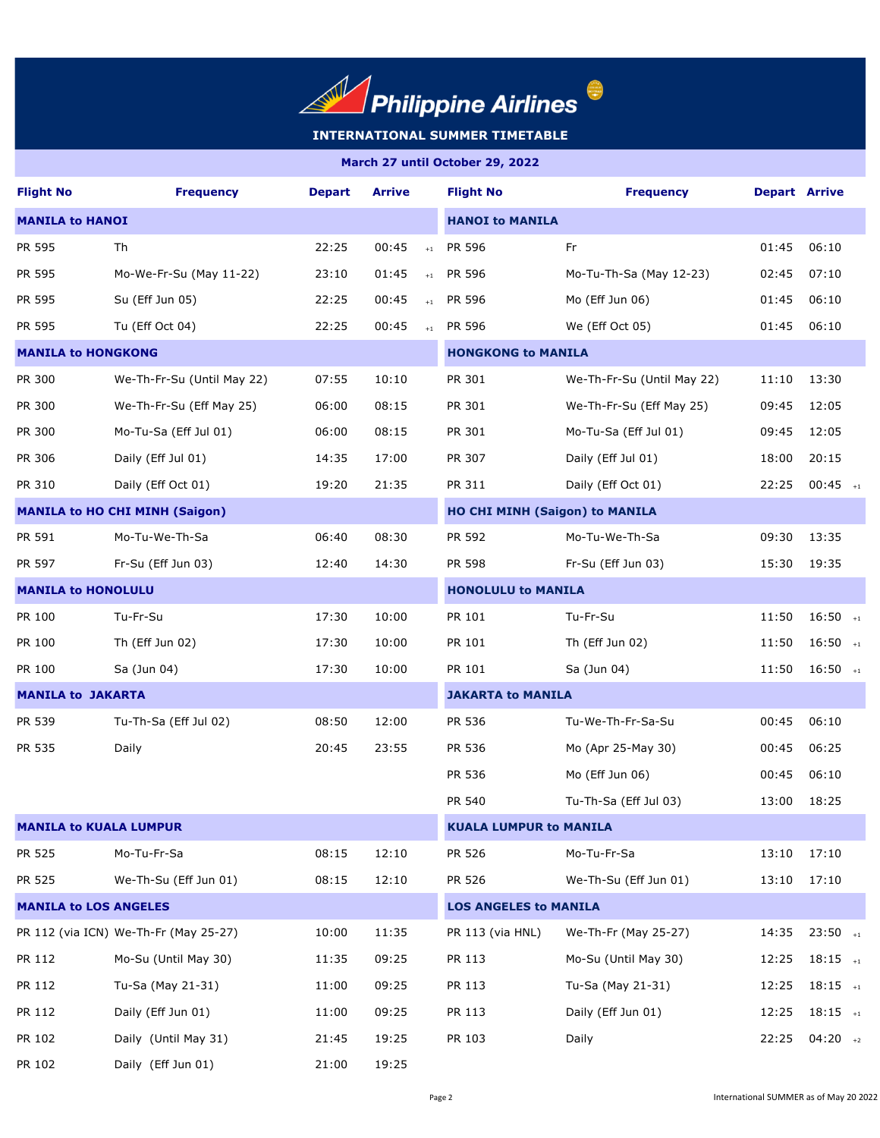

| <b>Flight No</b>              | <b>Frequency</b>                      | <b>Depart</b>                | <b>Arrive</b>    | <b>Flight No</b>                      | <b>Frequency</b>           | <b>Depart Arrive</b> |                       |  |
|-------------------------------|---------------------------------------|------------------------------|------------------|---------------------------------------|----------------------------|----------------------|-----------------------|--|
| <b>MANILA to HANOI</b>        |                                       |                              |                  | <b>HANOI to MANILA</b>                |                            |                      |                       |  |
| PR 595                        | Th                                    | 22:25                        | 00:45<br>$+1$    | PR 596                                | Fr                         | 01:45                | 06:10                 |  |
| PR 595                        | Mo-We-Fr-Su (May $11-22$ )            | 23:10                        | 01:45<br>$+1$    | <b>PR 596</b>                         | Mo-Tu-Th-Sa (May 12-23)    | 02:45                | 07:10                 |  |
| PR 595                        | Su (Eff Jun 05)                       | 22:25                        | 00:45<br>$\pm 1$ | PR 596                                | Mo (Eff Jun 06)            | 01:45                | 06:10                 |  |
| PR 595                        | Tu (Eff Oct 04)                       | 22:25                        | 00:45<br>$+1$    | PR 596                                | We (Eff Oct 05)            | 01:45                | 06:10                 |  |
| <b>MANILA to HONGKONG</b>     |                                       |                              |                  | <b>HONGKONG to MANILA</b>             |                            |                      |                       |  |
| PR 300                        | We-Th-Fr-Su (Until May 22)            | 07:55                        | 10:10            | PR 301                                | We-Th-Fr-Su (Until May 22) | 11:10                | 13:30                 |  |
| PR 300                        | We-Th-Fr-Su (Eff May 25)              | 06:00                        | 08:15            | PR 301                                | We-Th-Fr-Su (Eff May 25)   | 09:45                | 12:05                 |  |
| PR 300                        | Mo-Tu-Sa (Eff Jul 01)                 | 06:00                        | 08:15            | PR 301                                | Mo-Tu-Sa (Eff Jul 01)      | 09:45                | 12:05                 |  |
| PR 306                        | Daily (Eff Jul 01)                    | 14:35                        | 17:00            | PR 307                                | Daily (Eff Jul 01)         | 18:00                | 20:15                 |  |
| PR 310                        | Daily (Eff Oct 01)                    | 19:20                        | 21:35            | PR 311                                | Daily (Eff Oct 01)         | 22:25                | $00:45$ <sub>+1</sub> |  |
|                               | <b>MANILA to HO CHI MINH (Saigon)</b> |                              |                  | <b>HO CHI MINH (Saigon) to MANILA</b> |                            |                      |                       |  |
| PR 591                        | Mo-Tu-We-Th-Sa                        | 06:40                        | 08:30            | PR 592                                | Mo-Tu-We-Th-Sa             | 09:30                | 13:35                 |  |
| PR 597                        | Fr-Su (Eff Jun 03)                    | 12:40                        | 14:30            | PR 598                                | Fr-Su (Eff Jun 03)         | 15:30                | 19:35                 |  |
| <b>MANILA to HONOLULU</b>     |                                       | <b>HONOLULU to MANILA</b>    |                  |                                       |                            |                      |                       |  |
| PR 100                        | Tu-Fr-Su                              | 17:30                        | 10:00            | PR 101                                | Tu-Fr-Su                   | 11:50                | $16:50$ +1            |  |
| PR 100                        | Th (Eff Jun 02)                       | 17:30                        | 10:00            | PR 101                                | Th (Eff Jun 02)            | 11:50                | $16:50$ +1            |  |
| PR 100                        | Sa (Jun 04)                           | 17:30                        | 10:00            | PR 101                                | Sa (Jun 04)                | 11:50                | $16:50$ +1            |  |
| <b>MANILA to JAKARTA</b>      |                                       |                              |                  | <b>JAKARTA to MANILA</b>              |                            |                      |                       |  |
| PR 539                        | Tu-Th-Sa (Eff Jul 02)                 | 08:50                        | 12:00            | PR 536                                | Tu-We-Th-Fr-Sa-Su          | 00:45                | 06:10                 |  |
| PR 535                        | Daily                                 | 20:45                        | 23:55            | PR 536                                | Mo (Apr 25-May 30)         | 00:45                | 06:25                 |  |
|                               |                                       |                              |                  | PR 536                                | Mo (Eff Jun 06)            | 00:45                | 06:10                 |  |
|                               |                                       |                              |                  | PR 540                                | Tu-Th-Sa (Eff Jul 03)      | 13:00                | 18:25                 |  |
| <b>MANILA to KUALA LUMPUR</b> |                                       |                              |                  | <b>KUALA LUMPUR to MANILA</b>         |                            |                      |                       |  |
| PR 525                        | Mo-Tu-Fr-Sa                           | 08:15                        | 12:10            | PR 526                                | Mo-Tu-Fr-Sa                | 13:10                | 17:10                 |  |
| PR 525                        | We-Th-Su (Eff Jun 01)                 | 08:15                        | 12:10            | PR 526                                | We-Th-Su (Eff Jun 01)      | 13:10                | 17:10                 |  |
| <b>MANILA to LOS ANGELES</b>  |                                       | <b>LOS ANGELES to MANILA</b> |                  |                                       |                            |                      |                       |  |
|                               | PR 112 (via ICN) We-Th-Fr (May 25-27) | 10:00                        | 11:35            | PR 113 (via HNL)                      | We-Th-Fr (May 25-27)       | 14:35                | $23:50$ +1            |  |
| PR 112                        | Mo-Su (Until May 30)                  | 11:35                        | 09:25            | PR 113                                | Mo-Su (Until May 30)       | 12:25                | $18:15$ +1            |  |
| PR 112                        | Tu-Sa (May 21-31)                     | 11:00                        | 09:25            | PR 113                                | Tu-Sa (May 21-31)          | 12:25                | $18:15$ +1            |  |
| PR 112                        | Daily (Eff Jun 01)                    | 11:00                        | 09:25            | PR 113                                | Daily (Eff Jun 01)         | 12:25                | $18:15$ +1            |  |
| PR 102                        | Daily (Until May 31)                  | 21:45                        | 19:25            | PR 103                                | Daily                      | 22:25                | $04:20$ +2            |  |
| PR 102                        | Daily (Eff Jun 01)                    | 21:00                        | 19:25            |                                       |                            |                      |                       |  |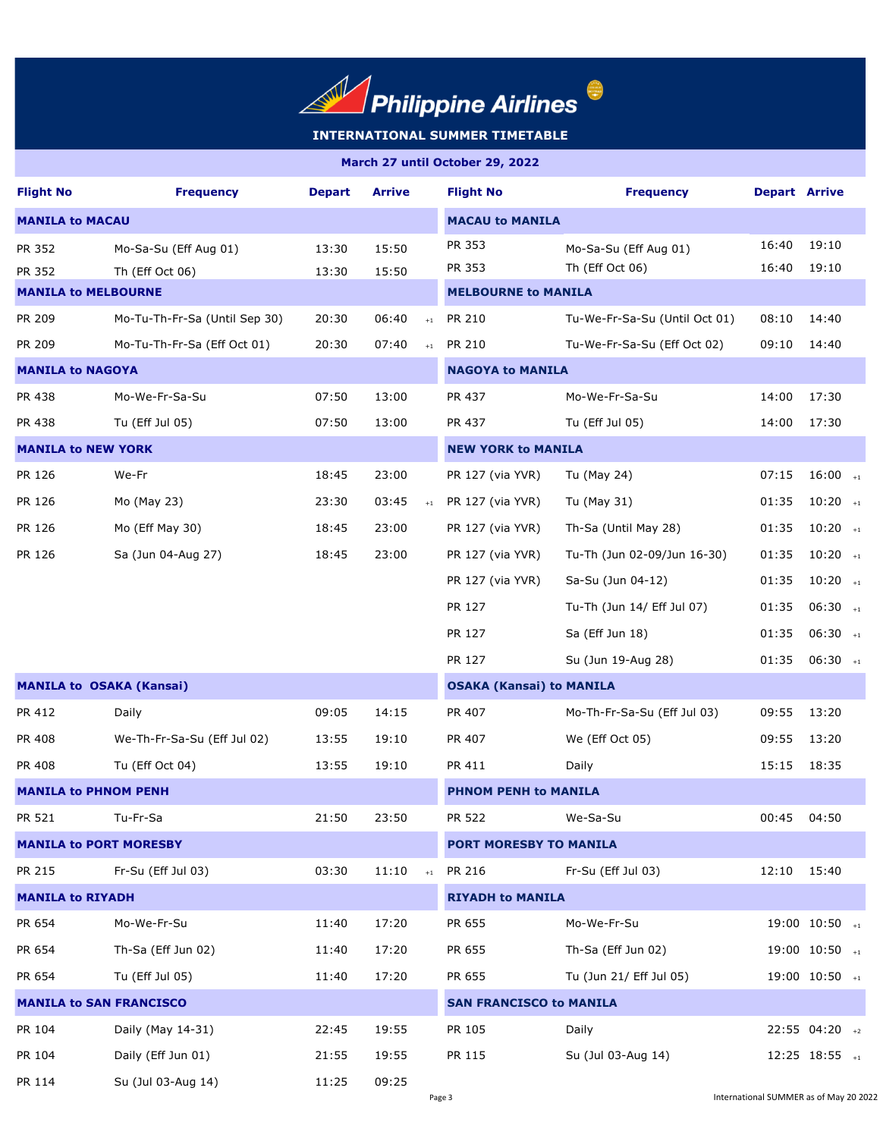

| <b>Flight No</b>               | <b>Frequency</b>                | <b>Depart</b> | <b>Arrive</b> |                        | <b>Flight No</b>                | <b>Frequency</b>              | <b>Depart Arrive</b> |                         |  |
|--------------------------------|---------------------------------|---------------|---------------|------------------------|---------------------------------|-------------------------------|----------------------|-------------------------|--|
| <b>MANILA to MACAU</b>         |                                 |               |               | <b>MACAU to MANILA</b> |                                 |                               |                      |                         |  |
| PR 352                         | Mo-Sa-Su (Eff Aug 01)           | 13:30         | 15:50         |                        | PR 353                          | Mo-Sa-Su (Eff Aug 01)         | 16:40                | 19:10                   |  |
| PR 352                         | Th (Eff Oct 06)                 | 13:30         | 15:50         |                        | PR 353                          | Th (Eff Oct 06)               | 16:40                | 19:10                   |  |
| <b>MANILA to MELBOURNE</b>     |                                 |               |               |                        | <b>MELBOURNE to MANILA</b>      |                               |                      |                         |  |
| PR 209                         | Mo-Tu-Th-Fr-Sa (Until Sep 30)   | 20:30         | 06:40         | $+1$                   | PR 210                          | Tu-We-Fr-Sa-Su (Until Oct 01) | 08:10                | 14:40                   |  |
| PR 209                         | Mo-Tu-Th-Fr-Sa (Eff Oct 01)     | 20:30         | 07:40         | $+1$                   | <b>PR 210</b>                   | Tu-We-Fr-Sa-Su (Eff Oct 02)   | 09:10                | 14:40                   |  |
| <b>MANILA to NAGOYA</b>        |                                 |               |               |                        | <b>NAGOYA to MANILA</b>         |                               |                      |                         |  |
| PR 438                         | Mo-We-Fr-Sa-Su                  | 07:50         | 13:00         |                        | PR 437                          | Mo-We-Fr-Sa-Su                | 14:00                | 17:30                   |  |
| PR 438                         | Tu (Eff Jul 05)                 | 07:50         | 13:00         |                        | PR 437                          | Tu (Eff Jul 05)               | 14:00                | 17:30                   |  |
| <b>MANILA to NEW YORK</b>      |                                 |               |               |                        | <b>NEW YORK to MANILA</b>       |                               |                      |                         |  |
| PR 126                         | We-Fr                           | 18:45         | 23:00         |                        | PR 127 (via YVR)                | Tu (May 24)                   | 07:15                | $16:00$ +1              |  |
| PR 126                         | Mo (May 23)                     | 23:30         | 03:45         | $+1$                   | PR 127 (via YVR)                | Tu (May 31)                   | 01:35                | $10:20$ +1              |  |
| PR 126                         | Mo (Eff May 30)                 | 18:45         | 23:00         |                        | PR 127 (via YVR)                | Th-Sa (Until May 28)          | 01:35                | $10:20$ +1              |  |
| PR 126                         | Sa (Jun 04-Aug 27)              | 18:45         | 23:00         |                        | PR 127 (via YVR)                | Tu-Th (Jun 02-09/Jun 16-30)   | 01:35                | $10:20$ +1              |  |
|                                |                                 |               |               |                        | PR 127 (via YVR)                | Sa-Su (Jun 04-12)             | 01:35                | $10:20$ +1              |  |
|                                |                                 |               |               |                        | PR 127                          | Tu-Th (Jun 14/ Eff Jul 07)    | 01:35                | $06:30$ +1              |  |
|                                |                                 |               |               |                        | PR 127                          | Sa (Eff Jun 18)               | 01:35                | $06:30$ +1              |  |
|                                |                                 |               |               |                        | PR 127                          | Su (Jun 19-Aug 28)            | 01:35                | $06:30$ +1              |  |
|                                | <b>MANILA to OSAKA (Kansai)</b> |               |               |                        | <b>OSAKA (Kansai) to MANILA</b> |                               |                      |                         |  |
| PR 412                         | Daily                           | 09:05         | 14:15         |                        | PR 407                          | Mo-Th-Fr-Sa-Su (Eff Jul 03)   | 09:55                | 13:20                   |  |
| PR 408                         | We-Th-Fr-Sa-Su (Eff Jul 02)     | 13:55         | 19:10         |                        | PR 407                          | We (Eff Oct 05)               | 09:55                | 13:20                   |  |
| PR 408                         | Tu (Eff Oct 04)                 | 13:55         | 19:10         |                        | PR 411                          | Daily                         | 15:15                | 18:35                   |  |
| <b>MANILA to PHNOM PENH</b>    |                                 |               |               |                        | <b>PHNOM PENH to MANILA</b>     |                               |                      |                         |  |
| <b>PR 521</b>                  | Tu-Fr-Sa                        | 21:50         | 23:50         |                        | <b>PR 522</b>                   | We-Sa-Su                      | 00:45                | 04:50                   |  |
|                                | <b>MANILA to PORT MORESBY</b>   |               |               |                        | PORT MORESBY TO MANILA          |                               |                      |                         |  |
| PR 215                         | Fr-Su (Eff Jul 03)              | 03:30         | 11:10         | $+1$                   | PR 216                          | Fr-Su (Eff Jul 03)            | 12:10                | 15:40                   |  |
| <b>MANILA to RIYADH</b>        |                                 |               |               |                        | <b>RIYADH to MANILA</b>         |                               |                      |                         |  |
| PR 654                         | Mo-We-Fr-Su                     | 11:40         | 17:20         |                        | PR 655                          | Mo-We-Fr-Su                   |                      | $19:00$ $10:50$ $_{+1}$ |  |
| PR 654                         | Th-Sa (Eff Jun 02)              | 11:40         | 17:20         |                        | PR 655                          | Th-Sa (Eff Jun 02)            |                      | $19:00$ $10:50$ $_{+1}$ |  |
| PR 654                         | Tu (Eff Jul 05)                 | 11:40         | 17:20         |                        | PR 655                          | Tu (Jun 21/ Eff Jul 05)       |                      | $19:00$ $10:50$ $_{+1}$ |  |
| <b>MANILA to SAN FRANCISCO</b> |                                 |               |               |                        | <b>SAN FRANCISCO to MANILA</b>  |                               |                      |                         |  |
| PR 104                         | Daily (May 14-31)               | 22:45         | 19:55         |                        | PR 105                          | Daily                         |                      | 22:55 04:20 +2          |  |
| PR 104                         | Daily (Eff Jun 01)              | 21:55         | 19:55         |                        | PR 115                          | Su (Jul 03-Aug 14)            |                      | $12:25$ $18:55$ $_{+1}$ |  |
| PR 114                         | Su (Jul 03-Aug 14)              | 11:25         | 09:25         |                        |                                 |                               |                      |                         |  |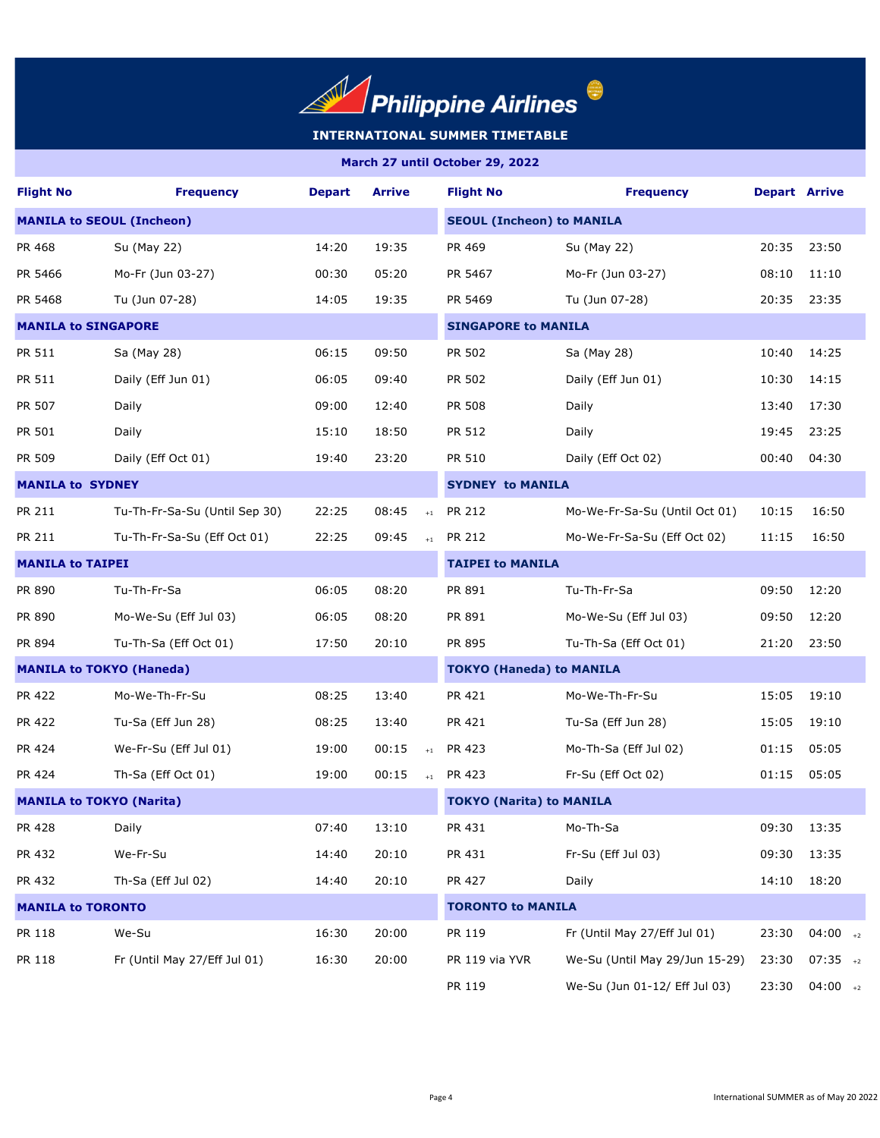

| <b>Flight No</b>                 | <b>Frequency</b>                | <b>Depart</b> | <b>Arrive</b> |                                  | <b>Flight No</b>                | <b>Frequency</b>               | <b>Depart Arrive</b> |            |  |
|----------------------------------|---------------------------------|---------------|---------------|----------------------------------|---------------------------------|--------------------------------|----------------------|------------|--|
| <b>MANILA to SEOUL (Incheon)</b> |                                 |               |               | <b>SEOUL (Incheon) to MANILA</b> |                                 |                                |                      |            |  |
| PR 468                           | Su (May 22)                     | 14:20         | 19:35         |                                  | PR 469                          | Su (May 22)                    | 20:35                | 23:50      |  |
| PR 5466                          | Mo-Fr (Jun 03-27)               | 00:30         | 05:20         |                                  | PR 5467                         | Mo-Fr (Jun 03-27)              | 08:10                | 11:10      |  |
| PR 5468                          | Tu (Jun 07-28)                  | 14:05         | 19:35         |                                  | PR 5469                         | Tu (Jun 07-28)                 | 20:35                | 23:35      |  |
| <b>MANILA to SINGAPORE</b>       |                                 |               |               |                                  | <b>SINGAPORE to MANILA</b>      |                                |                      |            |  |
| PR 511                           | Sa (May 28)                     | 06:15         | 09:50         |                                  | PR 502                          | Sa (May 28)                    | 10:40                | 14:25      |  |
| PR 511                           | Daily (Eff Jun 01)              | 06:05         | 09:40         |                                  | PR 502                          | Daily (Eff Jun 01)             | 10:30                | 14:15      |  |
| PR 507                           | Daily                           | 09:00         | 12:40         |                                  | PR 508                          | Daily                          | 13:40                | 17:30      |  |
| PR 501                           | Daily                           | 15:10         | 18:50         |                                  | PR 512                          | Daily                          | 19:45                | 23:25      |  |
| PR 509                           | Daily (Eff Oct 01)              | 19:40         | 23:20         |                                  | PR 510                          | Daily (Eff Oct 02)             | 00:40                | 04:30      |  |
| <b>MANILA to SYDNEY</b>          |                                 |               |               |                                  | <b>SYDNEY to MANILA</b>         |                                |                      |            |  |
| PR 211                           | Tu-Th-Fr-Sa-Su (Until Sep 30)   | 22:25         | 08:45         | $+1$                             | PR 212                          | Mo-We-Fr-Sa-Su (Until Oct 01)  | 10:15                | 16:50      |  |
| PR 211                           | Tu-Th-Fr-Sa-Su (Eff Oct 01)     | 22:25         | 09:45         | $+1$                             | PR 212                          | Mo-We-Fr-Sa-Su (Eff Oct 02)    | 11:15                | 16:50      |  |
| <b>MANILA to TAIPEI</b>          |                                 |               |               | <b>TAIPEI to MANILA</b>          |                                 |                                |                      |            |  |
| PR 890                           | Tu-Th-Fr-Sa                     | 06:05         | 08:20         |                                  | PR 891                          | Tu-Th-Fr-Sa                    | 09:50                | 12:20      |  |
| PR 890                           | Mo-We-Su (Eff Jul 03)           | 06:05         | 08:20         |                                  | PR 891                          | Mo-We-Su (Eff Jul 03)          | 09:50                | 12:20      |  |
| PR 894                           | Tu-Th-Sa (Eff Oct 01)           | 17:50         | 20:10         |                                  | PR 895                          | Tu-Th-Sa (Eff Oct 01)          | 21:20                | 23:50      |  |
|                                  | <b>MANILA to TOKYO (Haneda)</b> |               |               |                                  | <b>TOKYO (Haneda) to MANILA</b> |                                |                      |            |  |
| PR 422                           | Mo-We-Th-Fr-Su                  | 08:25         | 13:40         |                                  | PR 421                          | Mo-We-Th-Fr-Su                 | 15:05                | 19:10      |  |
| PR 422                           | Tu-Sa (Eff Jun 28)              | 08:25         | 13:40         |                                  | PR 421                          | Tu-Sa (Eff Jun 28)             | 15:05                | 19:10      |  |
| PR 424                           | We-Fr-Su (Eff Jul 01)           | 19:00         | 00:15         | $+1$                             | PR 423                          | Mo-Th-Sa (Eff Jul 02)          | 01:15                | 05:05      |  |
| PR 424                           | Th-Sa (Eff Oct 01)              | 19:00         | 00:15         |                                  | $+1$ PR 423                     | Fr-Su (Eff Oct 02)             | 01:15                | 05:05      |  |
|                                  | <b>MANILA to TOKYO (Narita)</b> |               |               |                                  | <b>TOKYO (Narita) to MANILA</b> |                                |                      |            |  |
| PR 428                           | Daily                           | 07:40         | 13:10         |                                  | PR 431                          | Mo-Th-Sa                       | 09:30                | 13:35      |  |
| PR 432                           | We-Fr-Su                        | 14:40         | 20:10         |                                  | PR 431                          | Fr-Su (Eff Jul 03)             | 09:30                | 13:35      |  |
| PR 432                           | Th-Sa (Eff Jul 02)              | 14:40         | 20:10         |                                  | PR 427                          | Daily                          | 14:10                | 18:20      |  |
| <b>MANILA to TORONTO</b>         |                                 |               |               | <b>TORONTO to MANILA</b>         |                                 |                                |                      |            |  |
| PR 118                           | We-Su                           | 16:30         | 20:00         |                                  | PR 119                          | Fr (Until May 27/Eff Jul 01)   | 23:30                | $04:00$ +2 |  |
| PR 118                           | Fr (Until May 27/Eff Jul 01)    | 16:30         | 20:00         |                                  | PR 119 via YVR                  | We-Su (Until May 29/Jun 15-29) | 23:30                | $07:35$ +2 |  |
|                                  |                                 |               |               |                                  | PR 119                          | We-Su (Jun 01-12/ Eff Jul 03)  | 23:30                | $04:00$ +2 |  |